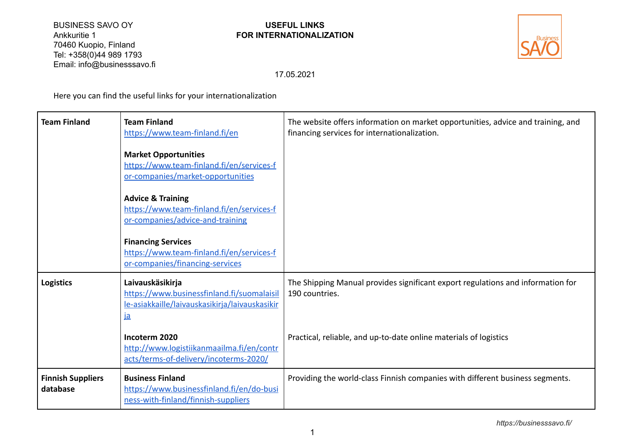BUSINESS SAVO OY **USEFUL LINKS**<br>Ankkuritie 1 **District of the Security COR INTERNATIONALIZ** 70460 Kuopio, Finland Tel: +358(0)44 989 1793 Email: info@businesssavo.fi

# Ankkuritie 1 **FOR INTERNATIONALIZATION**



17.05.2021

Here you can find the useful links for your internationalization

| <b>Team Finland</b>                  | <b>Team Finland</b><br>https://www.team-finland.fi/en                                                                         | The website offers information on market opportunities, advice and training, and<br>financing services for internationalization. |
|--------------------------------------|-------------------------------------------------------------------------------------------------------------------------------|----------------------------------------------------------------------------------------------------------------------------------|
|                                      | <b>Market Opportunities</b><br>https://www.team-finland.fi/en/services-f<br>or-companies/market-opportunities                 |                                                                                                                                  |
|                                      | <b>Advice &amp; Training</b><br>https://www.team-finland.fi/en/services-f<br>or-companies/advice-and-training                 |                                                                                                                                  |
|                                      | <b>Financing Services</b><br>https://www.team-finland.fi/en/services-f<br>or-companies/financing-services                     |                                                                                                                                  |
| <b>Logistics</b>                     | Laivauskäsikirja<br>https://www.businessfinland.fi/suomalaisil<br>le-asiakkaille/laivauskasikirja/laivauskasikir<br><u>la</u> | The Shipping Manual provides significant export regulations and information for<br>190 countries.                                |
|                                      | Incoterm 2020<br>http://www.logistiikanmaailma.fi/en/contr<br>acts/terms-of-delivery/incoterms-2020/                          | Practical, reliable, and up-to-date online materials of logistics                                                                |
| <b>Finnish Suppliers</b><br>database | <b>Business Finland</b><br>https://www.businessfinland.fi/en/do-busi<br>ness-with-finland/finnish-suppliers                   | Providing the world-class Finnish companies with different business segments.                                                    |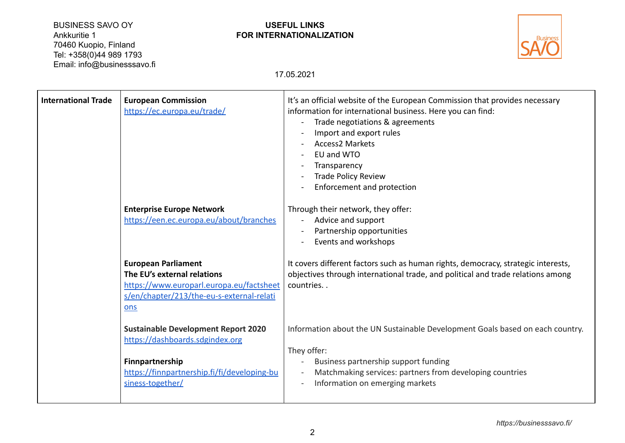BUSINESS SAVO OY **USEFUL LINKS**<br>Ankkuritie 1 **District of the Section Ankkuritie 1** 70460 Kuopio, Finland Tel: +358(0)44 989 1793 Email: info@businesssavo.fi

# Ankkuritie 1 **FOR INTERNATIONALIZATION**



17.05.2021

| <b>International Trade</b> | <b>European Commission</b><br>https://ec.europa.eu/trade/<br><b>Enterprise Europe Network</b><br>https://een.ec.europa.eu/about/branches                            | It's an official website of the European Commission that provides necessary<br>information for international business. Here you can find:<br>Trade negotiations & agreements<br>Import and export rules<br><b>Access2 Markets</b><br>EU and WTO<br>Transparency<br>Trade Policy Review<br>Enforcement and protection<br>Through their network, they offer:<br>Advice and support<br>Partnership opportunities<br>Events and workshops |
|----------------------------|---------------------------------------------------------------------------------------------------------------------------------------------------------------------|---------------------------------------------------------------------------------------------------------------------------------------------------------------------------------------------------------------------------------------------------------------------------------------------------------------------------------------------------------------------------------------------------------------------------------------|
|                            | <b>European Parliament</b><br>The EU's external relations<br>https://www.europarl.europa.eu/factsheet<br>s/en/chapter/213/the-eu-s-external-relati<br>ons           | It covers different factors such as human rights, democracy, strategic interests,<br>objectives through international trade, and political and trade relations among<br>countries                                                                                                                                                                                                                                                     |
|                            | <b>Sustainable Development Report 2020</b><br>https://dashboards.sdgindex.org<br>Finnpartnership<br>https://finnpartnership.fi/fi/developing-bu<br>siness-together/ | Information about the UN Sustainable Development Goals based on each country.<br>They offer:<br>Business partnership support funding<br>Matchmaking services: partners from developing countries<br>Information on emerging markets                                                                                                                                                                                                   |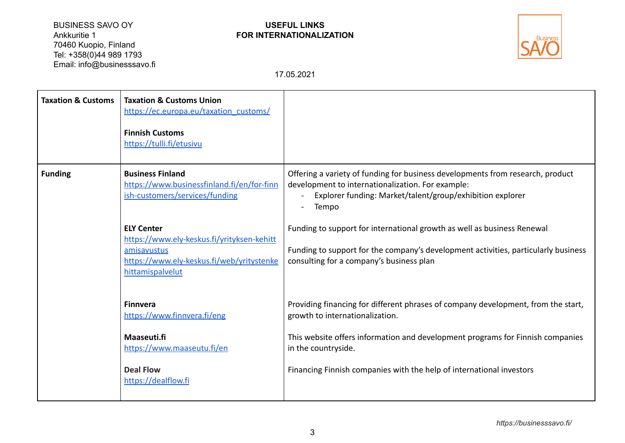BUSINESS SAVO OY **USEFUL LINKS**<br>Ankkuritie 1 **District of the Section Ankkuritie 1** 70460 Kuopio, Finland Tel: +358(0)44 989 1793 Email: info@businesssavo.fi

# Ankkuritie 1 **FOR INTERNATIONALIZATION**



17.05.2021

| <b>Taxation &amp; Customs</b> | <b>Taxation &amp; Customs Union</b><br>https://ec.europa.eu/taxation_customs/<br><b>Finnish Customs</b><br>https://tulli.fi/etusivu             |                                                                                                                                                                                                           |
|-------------------------------|-------------------------------------------------------------------------------------------------------------------------------------------------|-----------------------------------------------------------------------------------------------------------------------------------------------------------------------------------------------------------|
| <b>Funding</b>                | <b>Business Finland</b><br>https://www.businessfinland.fi/en/for-finn<br>ish-customers/services/funding                                         | Offering a variety of funding for business developments from research, product<br>development to internationalization. For example:<br>Explorer funding: Market/talent/group/exhibition explorer<br>Tempo |
|                               | <b>ELY Center</b><br>https://www.ely-keskus.fi/yrityksen-kehitt<br>amisavustus<br>https://www.ely-keskus.fi/web/yritystenke<br>hittamispalvelut | Funding to support for international growth as well as business Renewal<br>Funding to support for the company's development activities, particularly business<br>consulting for a company's business plan |
|                               | <b>Finnvera</b><br>https://www.finnvera.fi/eng                                                                                                  | Providing financing for different phrases of company development, from the start,<br>growth to internationalization.                                                                                      |
|                               | Maaseuti.fi<br>https://www.maaseutu.fi/en                                                                                                       | This website offers information and development programs for Finnish companies<br>in the countryside.                                                                                                     |
|                               | <b>Deal Flow</b><br>https://dealflow.fi                                                                                                         | Financing Finnish companies with the help of international investors                                                                                                                                      |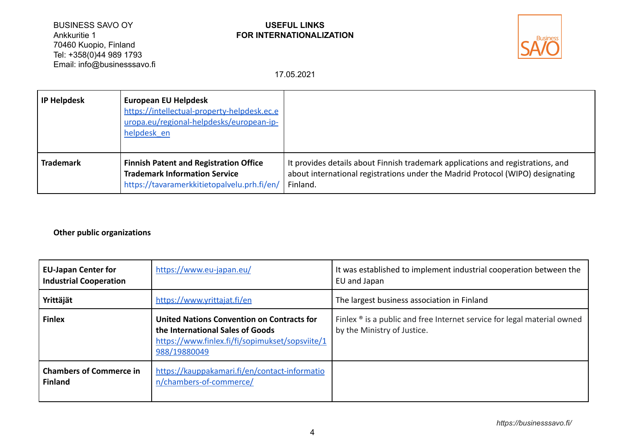BUSINESS SAVO OY **USEFUL LINKS**<br>Ankkuritie 1 **Discriming the CONNUMERT OF STARK** 70460 Kuopio, Finland Tel: +358(0)44 989 1793 Email: info@businesssavo.fi

# Ankkuritie 1 **FOR INTERNATIONALIZATION**



17.05.2021

| <b>IP Helpdesk</b> | <b>European EU Helpdesk</b><br>https://intellectual-property-helpdesk.ec.e<br>uropa.eu/regional-helpdesks/european-ip-<br>helpdesk en |                                                                                                                                                                               |
|--------------------|---------------------------------------------------------------------------------------------------------------------------------------|-------------------------------------------------------------------------------------------------------------------------------------------------------------------------------|
| <b>Trademark</b>   | <b>Finnish Patent and Registration Office</b><br><b>Trademark Information Service</b><br>https://tavaramerkkitietopalvelu.prh.fi/en/  | It provides details about Finnish trademark applications and registrations, and<br>about international registrations under the Madrid Protocol (WIPO) designating<br>Finland. |

#### **Other public organizations**

| <b>EU-Japan Center for</b><br><b>Industrial Cooperation</b> | https://www.eu-japan.eu/                                                                                                                          | It was established to implement industrial cooperation between the<br>EU and Japan                                 |
|-------------------------------------------------------------|---------------------------------------------------------------------------------------------------------------------------------------------------|--------------------------------------------------------------------------------------------------------------------|
| Yrittäjät                                                   | https://www.yrittajat.fi/en                                                                                                                       | The largest business association in Finland                                                                        |
| <b>Finlex</b>                                               | United Nations Convention on Contracts for<br>the International Sales of Goods<br>https://www.finlex.fi/fi/sopimukset/sopsviite/1<br>988/19880049 | Finlex $\mathcal{P}$ is a public and free Internet service for legal material owned<br>by the Ministry of Justice. |
| <b>Chambers of Commerce in</b><br><b>Finland</b>            | https://kauppakamari.fi/en/contact-informatio<br>n/chambers-of-commerce/                                                                          |                                                                                                                    |